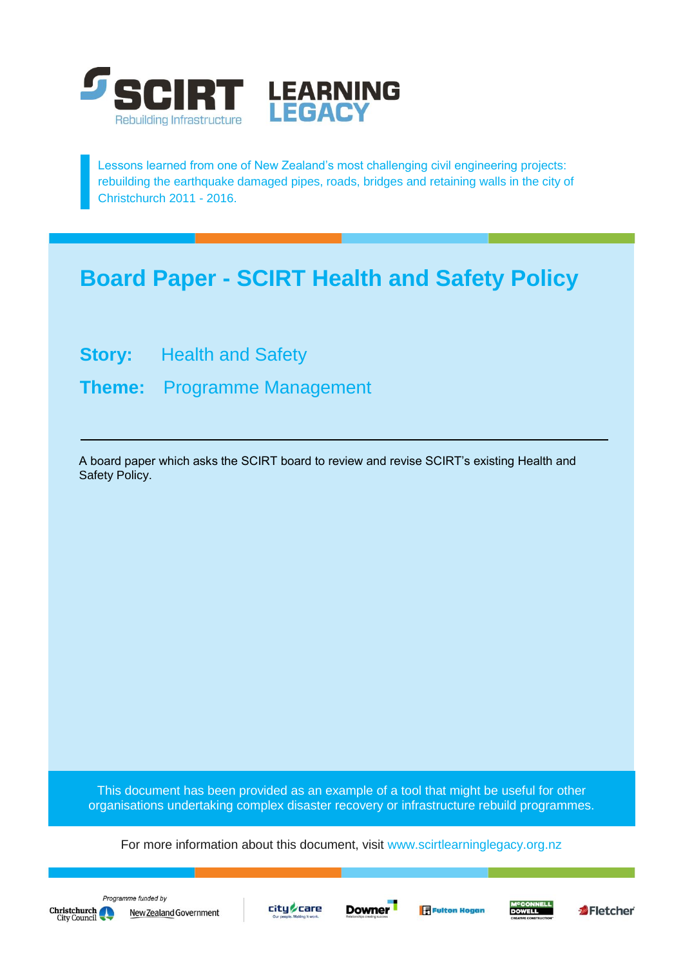

Lessons learned from one of New Zealand's most challenging civil engineering projects: rebuilding the earthquake damaged pipes, roads, bridges and retaining walls in the city of Christchurch 2011 - 2016.

# **Board Paper - SCIRT Health and Safety Policy**

**Story:** Health and Safety

**Theme:** Programme Management

A board paper which asks the SCIRT board to review and revise SCIRT's existing Health and Safety Policy.

This document has been provided as an example of a tool that might be useful for other organisations undertaking complex disaster recovery or infrastructure rebuild programmes.

For more information about this document, visit [www.scirtlearninglegacy.org.nz](http://www.scirtlearninglegacy.org.nz/)









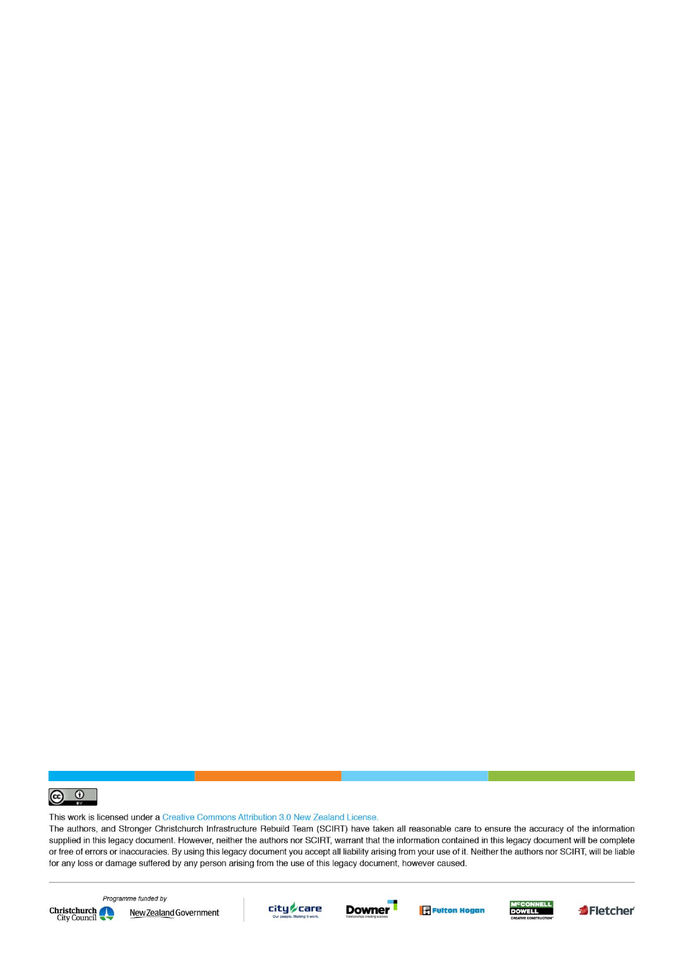

This work is licensed under a Creative Commons Attribution 3.0 New Zealand License.

The authors, and Stronger Christchurch Infrastructure Rebuild Team (SCIRT) have taken all reasonable care to ensure the accuracy of the information supplied in this legacy document. However, neither the authors nor SCIRT, warrant that the information contained in this legacy document will be complete or free of errors or inaccuracies. By using this legacy document you accept all liability arising from your use of it. Neither the authors nor SCIRT, will be liable for any loss or damage suffered by any person arising from the use of this legacy document, however caused.



Programme funded by New Zealand Government